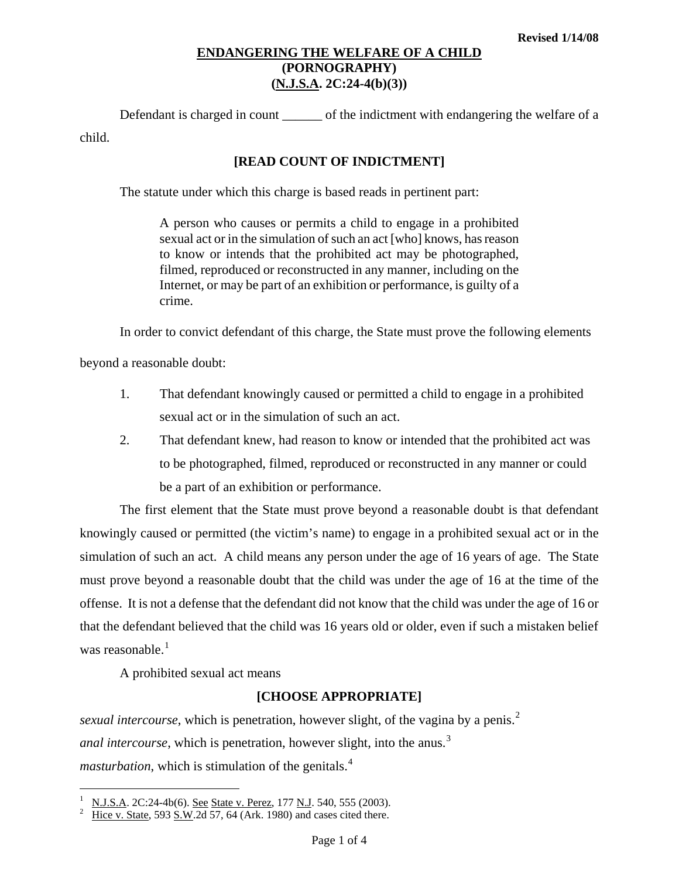# **ENDANGERING THE WELFARE OF A CHILD (PORNOGRAPHY) (N.J.S.A. 2C:24-4(b)(3))**

Defendant is charged in count \_\_\_\_\_\_ of the indictment with endangering the welfare of a child.

## **[READ COUNT OF INDICTMENT]**

The statute under which this charge is based reads in pertinent part:

A person who causes or permits a child to engage in a prohibited sexual act or in the simulation of such an act [who] knows, has reason to know or intends that the prohibited act may be photographed, filmed, reproduced or reconstructed in any manner, including on the Internet, or may be part of an exhibition or performance, is guilty of a crime.

In order to convict defendant of this charge, the State must prove the following elements

beyond a reasonable doubt:

- 1. That defendant knowingly caused or permitted a child to engage in a prohibited sexual act or in the simulation of such an act.
- 2. That defendant knew, had reason to know or intended that the prohibited act was to be photographed, filmed, reproduced or reconstructed in any manner or could be a part of an exhibition or performance.

<span id="page-0-4"></span><span id="page-0-3"></span><span id="page-0-2"></span>The first element that the State must prove beyond a reasonable doubt is that defendant knowingly caused or permitted (the victim's name) to engage in a prohibited sexual act or in the simulation of such an act. A child means any person under the age of 16 years of age. The State must prove beyond a reasonable doubt that the child was under the age of 16 at the time of the offense. It is not a defense that the defendant did not know that the child was under the age of 16 or that the defendant believed that the child was 16 years old or older, even if such a mistaken belief was reasonable. $<sup>1</sup>$  $<sup>1</sup>$  $<sup>1</sup>$ </sup>

A prohibited sexual act means

i

## **[CHOOSE APPROPRIATE]**

*sexual intercourse*, which is penetration, however slight, of the vagina by a penis.<sup>[2](#page-0-1)</sup> *anal intercourse*, which is penetration, however slight, into the anus.<sup>[3](#page-0-2)</sup> *masturbation*, which is stimulation of the genitals.<sup>[4](#page-0-3)</sup>

<span id="page-0-0"></span><sup>1</sup> N.J.S.A. 2C:24-4b(6). See State v. Perez, 177 N.J. 540, 555 (2003). 2

<span id="page-0-1"></span>Hice v. State, 593 S.W.2d 57, 64 (Ark. 1980) and cases cited there.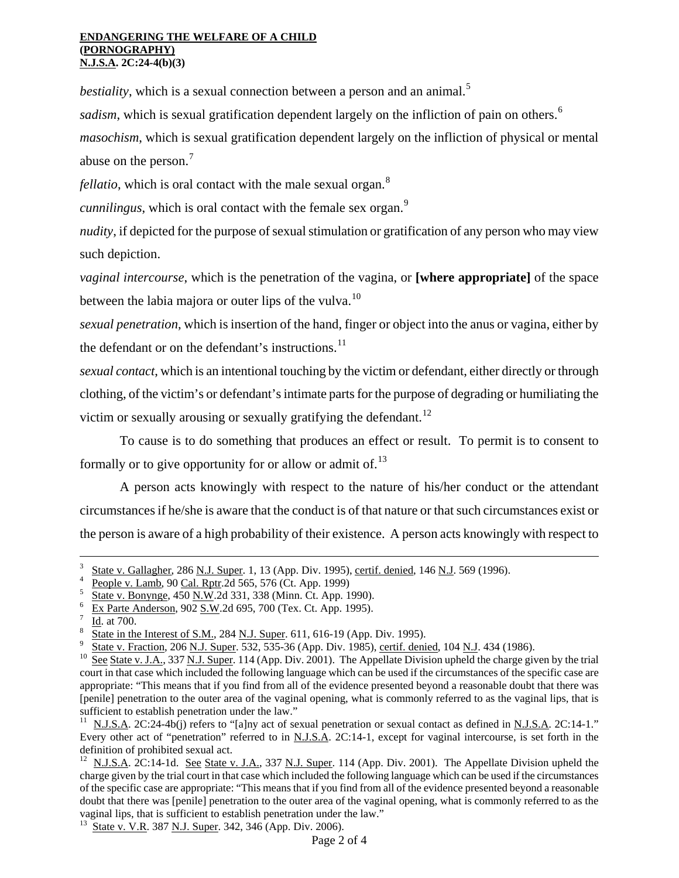#### **ENDANGERING THE WELFARE OF A CHILD (PORNOGRAPHY) N.J.S.A. 2C:24-4(b)(3)**

*bestiality*, which is a sexual connection between a person and an animal.<sup>[5](#page-0-4)</sup>

*sadism*, which is sexual gratification dependent largely on the infliction of pain on others.<sup>[6](#page-1-0)</sup>

*masochism*, which is sexual gratification dependent largely on the infliction of physical or mental abuse on the person.<sup>[7](#page-1-1)</sup>

*fellatio*, which is oral contact with the male sexual organ.<sup>[8](#page-1-2)</sup>

*cunnilingus*, which is oral contact with the female sex organ.<sup>[9](#page-1-3)</sup>

*nudity*, if depicted for the purpose of sexual stimulation or gratification of any person who may view such depiction.

*vaginal intercourse*, which is the penetration of the vagina, or **[where appropriate]** of the space between the labia majora or outer lips of the vulva.<sup>[10](#page-1-4)</sup>

*sexual penetration*, which is insertion of the hand, finger or object into the anus or vagina, either by the defendant or on the defendant's instructions. $^{11}$  $^{11}$  $^{11}$ 

*sexual contact*, which is an intentional touching by the victim or defendant, either directly or through clothing, of the victim's or defendant's intimate parts for the purpose of degrading or humiliating the victim or sexually arousing or sexually gratifying the defendant.<sup>[12](#page-1-6)</sup>

To cause is to do something that produces an effect or result. To permit is to consent to formally or to give opportunity for or allow or admit of. $^{13}$  $^{13}$  $^{13}$ 

A person acts knowingly with respect to the nature of his/her conduct or the attendant circumstances if he/she is aware that the conduct is of that nature or that such circumstances exist or the person is aware of a high probability of their existence. A person acts knowingly with respect to

i

<span id="page-1-8"></span><span id="page-1-7"></span>

<sup>3</sup>  $\frac{3}{4}$  State v. Gallagher, 286 N.J. Super. 1, 13 (App. Div. 1995), certif. denied, 146 N.J. 569 (1996).

 $\frac{4}{5}$  People v. Lamb, 90 Cal. Rptr.2d 565, 576 (Ct. App. 1999)

<span id="page-1-0"></span> $\frac{5}{6}$  State v. Bonynge, 450 N.W.2d 331, 338 (Minn. Ct. App. 1990).<br>6 Ev Parte Anderson, 902 S.W.2d 695, 700 (Tay, Ct. App. 1995).

Ex Parte Anderson, 902 S.W.2d 695, 700 (Tex. Ct. App. 1995).

<span id="page-1-1"></span>Id. at 700.

<span id="page-1-2"></span>State in the Interest of S.M., 284 N.J. Super. 611, 616-19 (App. Div. 1995).<br>State v. Fraction, 206 N.J. Super. 532, 535-36 (App. Div. 1985), certif. denied, 104 N.J. 434 (1986).

<span id="page-1-4"></span><span id="page-1-3"></span><sup>&</sup>lt;sup>10</sup> See State v. J.A., 337 N.J. Super. 114 (App. Div. 2001). The Appellate Division upheld the charge given by the trial court in that case which included the following language which can be used if the circumstances of the specific case are appropriate: "This means that if you find from all of the evidence presented beyond a reasonable doubt that there was [penile] penetration to the outer area of the vaginal opening, what is commonly referred to as the vaginal lips, that is sufficient to establish penetration under the law."

<span id="page-1-5"></span><sup>11</sup> N.J.S.A. 2C:24-4b(j) refers to "[a]ny act of sexual penetration or sexual contact as defined in N.J.S.A. 2C:14-1." Every other act of "penetration" referred to in N.J.S.A. 2C:14-1, except for vaginal intercourse, is set forth in the definition of prohibited sexual act.

<span id="page-1-6"></span><sup>&</sup>lt;sup>12</sup> N.J.S.A. 2C:14-1d. See State v. J.A., 337 N.J. Super. 114 (App. Div. 2001). The Appellate Division upheld the charge given by the trial court in that case which included the following language which can be used if the circumstances of the specific case are appropriate: "This means that if you find from all of the evidence presented beyond a reasonable doubt that there was [penile] penetration to the outer area of the vaginal opening, what is commonly referred to as the vaginal lips, that is sufficient to establish penetration under the law."<br><sup>13</sup> State v. V.R. 387 N.J. Super. 342, 346 (App. Div. 2006).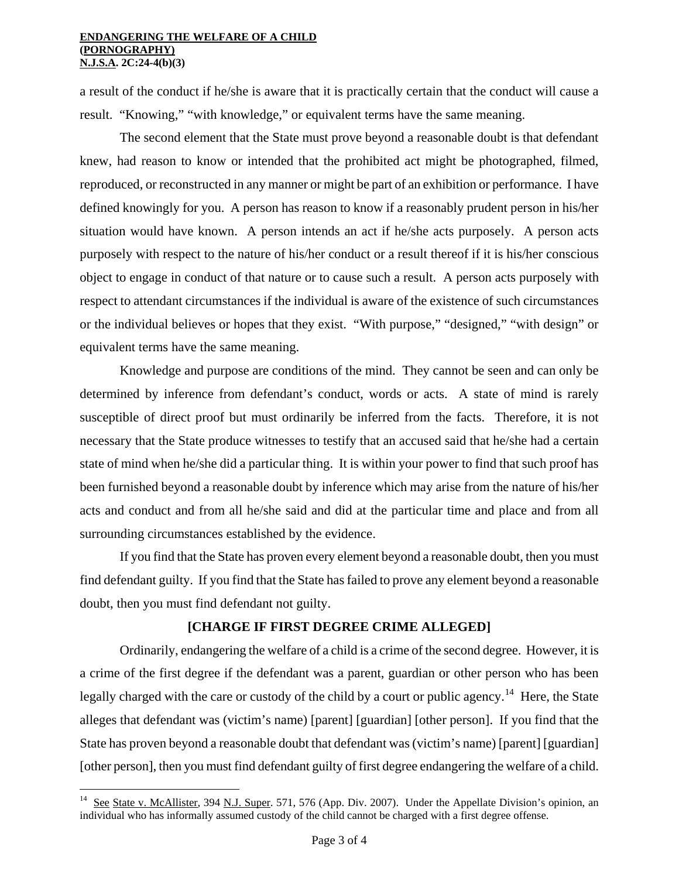#### **ENDANGERING THE WELFARE OF A CHILD (PORNOGRAPHY) N.J.S.A. 2C:24-4(b)(3)**

a result of the conduct if he/she is aware that it is practically certain that the conduct will cause a result. "Knowing," "with knowledge," or equivalent terms have the same meaning.

The second element that the State must prove beyond a reasonable doubt is that defendant knew, had reason to know or intended that the prohibited act might be photographed, filmed, reproduced, or reconstructed in any manner or might be part of an exhibition or performance. I have defined knowingly for you. A person has reason to know if a reasonably prudent person in his/her situation would have known. A person intends an act if he/she acts purposely. A person acts purposely with respect to the nature of his/her conduct or a result thereof if it is his/her conscious object to engage in conduct of that nature or to cause such a result. A person acts purposely with respect to attendant circumstances if the individual is aware of the existence of such circumstances or the individual believes or hopes that they exist. "With purpose," "designed," "with design" or equivalent terms have the same meaning.

Knowledge and purpose are conditions of the mind. They cannot be seen and can only be determined by inference from defendant's conduct, words or acts. A state of mind is rarely susceptible of direct proof but must ordinarily be inferred from the facts. Therefore, it is not necessary that the State produce witnesses to testify that an accused said that he/she had a certain state of mind when he/she did a particular thing. It is within your power to find that such proof has been furnished beyond a reasonable doubt by inference which may arise from the nature of his/her acts and conduct and from all he/she said and did at the particular time and place and from all surrounding circumstances established by the evidence.

If you find that the State has proven every element beyond a reasonable doubt, then you must find defendant guilty. If you find that the State has failed to prove any element beyond a reasonable doubt, then you must find defendant not guilty.

### **[CHARGE IF FIRST DEGREE CRIME ALLEGED]**

Ordinarily, endangering the welfare of a child is a crime of the second degree. However, it is a crime of the first degree if the defendant was a parent, guardian or other person who has been legally charged with the care or custody of the child by a court or public agency.<sup>[14](#page-1-8)</sup> Here, the State alleges that defendant was (victim's name) [parent] [guardian] [other person]. If you find that the State has proven beyond a reasonable doubt that defendant was (victim's name) [parent] [guardian] [other person], then you must find defendant guilty of first degree endangering the welfare of a child.

 $14$ See State v. McAllister, 394 N.J. Super. 571, 576 (App. Div. 2007). Under the Appellate Division's opinion, an individual who has informally assumed custody of the child cannot be charged with a first degree offense.